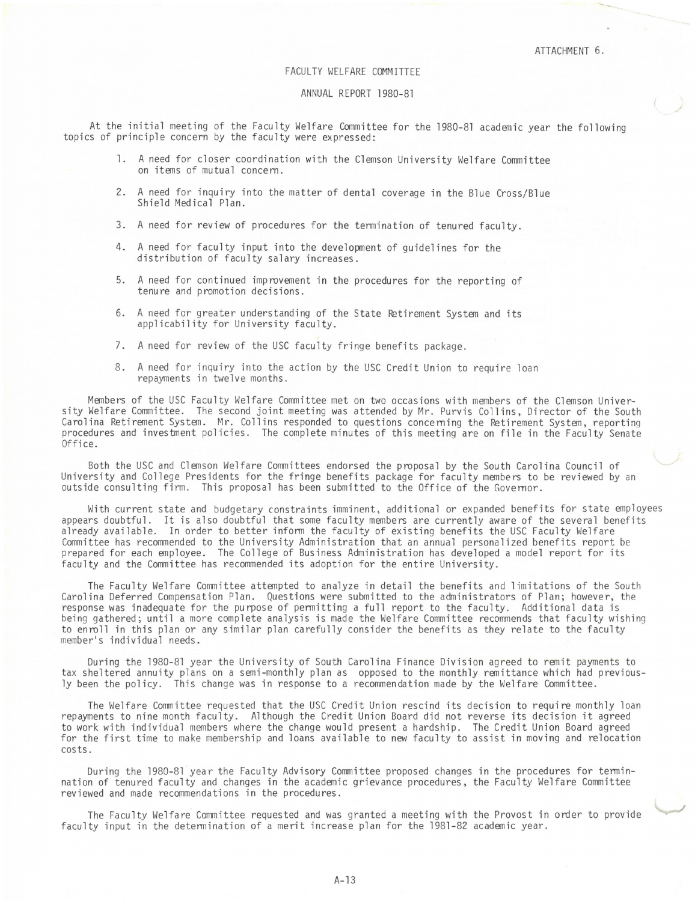ATTACHMENT 6.

## FACULTY WELFARE COMMITTEE

## ANNUAL REPORT 1980-81

At the initial meeting of the Faculty Welfare Committee for the 1980-81 academic year the following topics of principle concern by the faculty were expressed:

- 1. A need for closer coordination with the Clemson University Welfare Committee on items of mutual concern.
- 2. A need for inquiry into the matter of dental coverage in the Blue Cross/Blue Shield Medical Plan.
- 3. A need for review of procedures for the termination of tenured faculty.
- 4. A need for faculty input into the development of guidelines for the distribution of faculty salary increases.
- 5. A need for continued improvement in the procedures for the reporting of tenure and promotion decisions.
- 6. A need for greater understanding of the State Retirement System and its applicability for University faculty.
- 7. A need for review of the USC faculty fringe benefits package.
- 8. A need for inquiry into the action by the USC Credit Union to require loan repayments in twelve months.

Members of the USC Faculty Welfare Committee met on two occasions with members of the Clemson University Welfare Committee. The second joint meeting was attended by Mr. Purvis Collins, Director of the South Carolina Retirement System. Mr. Collins responded to questions concerning the Retirement System, reporting procedures and investment policies. The complete minutes of this meeting are on file in the Faculty Senate Office.

Both the USC and Clemson Welfare Committees endorsed the proposal by the South Carolina Council of University and College Presidents for the fringe benefits package for faculty members to be reviewed by an outside consulting firm. This proposal has been submitted to the Office of the Governor.

With current state and budgetary constraints imminent, additional or expanded benefits for state employees appears doubtful. It is also doubtful that some faculty members are currently aware of the several benefits already available. In order to better inform the faculty of existing benefits the USC Faculty Welfare Committee has recommended to the University Administration that an annual personalized benefits report be prepared for each employee. The College of Business Administration has developed a model report for its fa culty and the Committee has recommended its adoption for the entire University .

The Faculty Welfare Committee attempted to analyze in detail the benefits and limitations of the South Carolina Deferred Compensation Plan. Questions were submitted to the administrators of Plan; however, the response was inadequate for the purpose of permitting a full report to the faculty. Additional data is being gathered; until a more complete analysis is made the Welfare Committee recommends that faculty wishing to enroll in this plan or any similar plan carefully consider the benefits as they relate to the faculty member's individual needs.

During the 1980-81 year the University of South Carolina Finance Division agreed to remit payments to tax sheltered annuity plans on a semi-monthly plan as opposed to the monthly remittance which had previously been the policy. This change was in response to a recommendation made by the Welfare Committee.

The Welfare Committee requested that the USC Credit Union rescind its decision to require monthly loan repayments to nine month faculty. Although the Credit Union Board did not reverse its decision it agreed to work with individual members where the change would present a hardship. The Credit Union Board agreed for the first time to make membership and loans available to new faculty to assist in moving and relocation costs.

During the 1980-81 year the Faculty Advisory Committee proposed changes in the procedures for terminnation of tenured faculty and changes in the academic grievance procedures, the Faculty Welfare Committee reviewed and made recommendations in the procedures.

The Faculty Welfare Committee requested and was granted a meeting with the Provost in order to provide faculty input in the determination of a merit increase plan for the 1981-82 academic year.